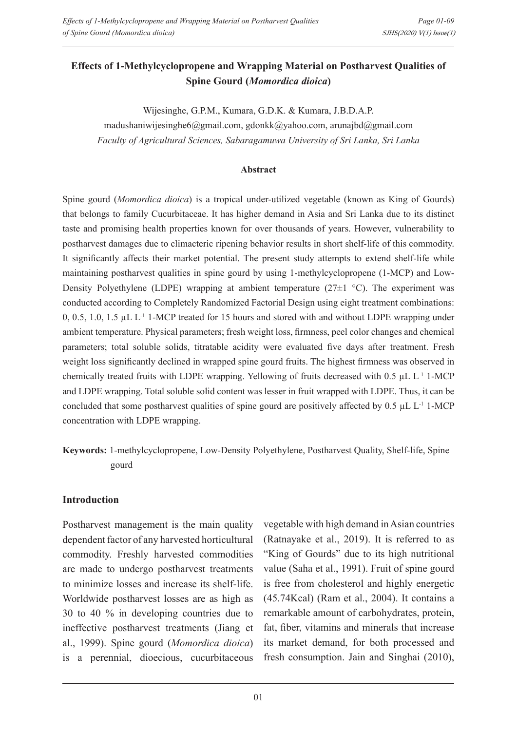# **Effects of 1-Methylcyclopropene and Wrapping Material on Postharvest Qualities of Spine Gourd (***Momordica dioica***)**

Wijesinghe, G.P.M., Kumara, G.D.K. & Kumara, J.B.D.A.P.

madushaniwijesinghe6@gmail.com, gdonkk@yahoo.com, arunajbd@gmail.com *Faculty of Agricultural Sciences, Sabaragamuwa University of Sri Lanka, Sri Lanka*

#### **Abstract**

Spine gourd (*Momordica dioica*) is a tropical under-utilized vegetable (known as King of Gourds) that belongs to family Cucurbitaceae. It has higher demand in Asia and Sri Lanka due to its distinct taste and promising health properties known for over thousands of years. However, vulnerability to postharvest damages due to climacteric ripening behavior results in short shelf-life of this commodity. It significantly affects their market potential. The present study attempts to extend shelf-life while maintaining postharvest qualities in spine gourd by using 1-methylcyclopropene (1-MCP) and Low-Density Polyethylene (LDPE) wrapping at ambient temperature ( $27\pm1$  °C). The experiment was conducted according to Completely Randomized Factorial Design using eight treatment combinations: 0, 0.5, 1.0, 1.5  $\mu$ L L<sup>-1</sup> 1-MCP treated for 15 hours and stored with and without LDPE wrapping under ambient temperature. Physical parameters; fresh weight loss, firmness, peel color changes and chemical parameters; total soluble solids, titratable acidity were evaluated five days after treatment. Fresh weight loss significantly declined in wrapped spine gourd fruits. The highest firmness was observed in chemically treated fruits with LDPE wrapping. Yellowing of fruits decreased with  $0.5 \mu L L^{-1}$  1-MCP and LDPE wrapping. Total soluble solid content was lesser in fruit wrapped with LDPE. Thus, it can be concluded that some postharvest qualities of spine gourd are positively affected by  $0.5 \mu L L^{-1}$  1-MCP concentration with LDPE wrapping.

# **Keywords:** 1-methylcyclopropene, Low-Density Polyethylene, Postharvest Quality, Shelf-life, Spine gourd

#### **Introduction**

Postharvest management is the main quality dependent factor of any harvested horticultural commodity. Freshly harvested commodities are made to undergo postharvest treatments to minimize losses and increase its shelf-life. Worldwide postharvest losses are as high as 30 to 40 % in developing countries due to ineffective postharvest treatments (Jiang et al., 1999). Spine gourd (*Momordica dioica*) is a perennial, dioecious, cucurbitaceous

vegetable with high demand in Asian countries (Ratnayake et al., 2019). It is referred to as "King of Gourds" due to its high nutritional value (Saha et al., 1991). Fruit of spine gourd is free from cholesterol and highly energetic (45.74Kcal) (Ram et al., 2004). It contains a remarkable amount of carbohydrates, protein, fat, fiber, vitamins and minerals that increase its market demand, for both processed and fresh consumption. Jain and Singhai (2010),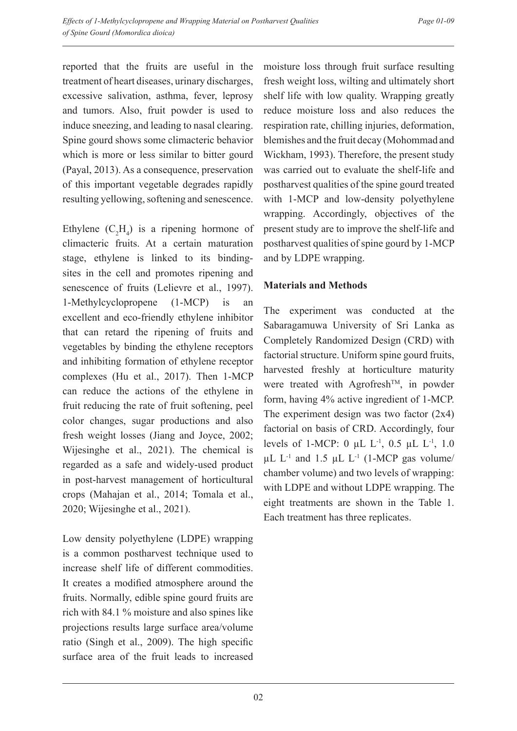reported that the fruits are useful in the treatment of heart diseases, urinary discharges, excessive salivation, asthma, fever, leprosy and tumors. Also, fruit powder is used to induce sneezing, and leading to nasal clearing. Spine gourd shows some climacteric behavior which is more or less similar to bitter gourd (Payal, 2013). As a consequence, preservation of this important vegetable degrades rapidly resulting yellowing, softening and senescence.

Ethylene  $(C_2H_4)$  is a ripening hormone of climacteric fruits. At a certain maturation stage, ethylene is linked to its bindingsites in the cell and promotes ripening and senescence of fruits (Lelievre et al., 1997). 1-Methylcyclopropene (1-MCP) is an excellent and eco-friendly ethylene inhibitor that can retard the ripening of fruits and vegetables by binding the ethylene receptors and inhibiting formation of ethylene receptor complexes (Hu et al., 2017). Then 1-MCP can reduce the actions of the ethylene in fruit reducing the rate of fruit softening, peel color changes, sugar productions and also fresh weight losses (Jiang and Joyce, 2002; Wijesinghe et al., 2021). The chemical is regarded as a safe and widely-used product in post-harvest management of horticultural crops (Mahajan et al., 2014; Tomala et al., 2020; Wijesinghe et al., 2021).

Low density polyethylene (LDPE) wrapping is a common postharvest technique used to increase shelf life of different commodities. It creates a modified atmosphere around the fruits. Normally, edible spine gourd fruits are rich with 84.1 % moisture and also spines like projections results large surface area/volume ratio (Singh et al., 2009). The high specific surface area of the fruit leads to increased

moisture loss through fruit surface resulting fresh weight loss, wilting and ultimately short shelf life with low quality. Wrapping greatly reduce moisture loss and also reduces the respiration rate, chilling injuries, deformation, blemishes and the fruit decay (Mohommad and Wickham, 1993). Therefore, the present study was carried out to evaluate the shelf-life and postharvest qualities of the spine gourd treated with 1-MCP and low-density polyethylene wrapping. Accordingly, objectives of the present study are to improve the shelf-life and postharvest qualities of spine gourd by 1-MCP and by LDPE wrapping.

## **Materials and Methods**

The experiment was conducted at the Sabaragamuwa University of Sri Lanka as Completely Randomized Design (CRD) with factorial structure. Uniform spine gourd fruits, harvested freshly at horticulture maturity were treated with Agrofresh<sup>TM</sup>, in powder form, having 4% active ingredient of 1-MCP. The experiment design was two factor (2x4) factorial on basis of CRD. Accordingly, four levels of 1-MCP: 0  $\mu$ L L<sup>-1</sup>, 0.5  $\mu$ L L<sup>-1</sup>, 1.0  $\mu$ L L<sup>-1</sup> and 1.5  $\mu$ L L<sup>-1</sup> (1-MCP gas volume/ chamber volume) and two levels of wrapping: with LDPE and without LDPE wrapping. The eight treatments are shown in the Table 1. Each treatment has three replicates.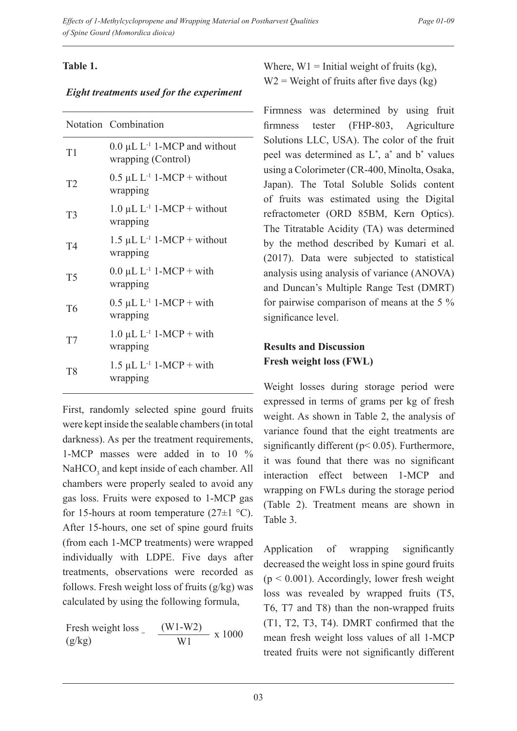## **Table 1.**

### *Eight treatments used for the experiment*

|                | Notation Combination                                       |
|----------------|------------------------------------------------------------|
| T1             | $0.0 \mu L L^{-1}$ 1-MCP and without<br>wrapping (Control) |
| T2             | $0.5 \mu L L^{-1}$ 1-MCP + without<br>wrapping             |
| T <sub>3</sub> | 1.0 $\mu$ L L <sup>-1</sup> 1-MCP + without<br>wrapping    |
| T <sub>4</sub> | $1.5 \mu L L^{-1}$ 1-MCP + without<br>wrapping             |
| T <sub>5</sub> | $0.0 \mu L L^{-1} 1-MCP + with$<br>wrapping                |
| T <sub>6</sub> | $0.5 \mu L L^{-1} 1-MCP + with$<br>wrapping                |
| T7             | $1.0 \mu L L^{-1} 1-MCP + with$<br>wrapping                |
| T <sub>8</sub> | $1.5 \mu L L^{-1} 1-MCP + with$<br>wrapping                |

First, randomly selected spine gourd fruits were kept inside the sealable chambers (in total darkness). As per the treatment requirements, 1-MCP masses were added in to 10 %  $NAHCO<sub>3</sub>$  and kept inside of each chamber. All chambers were properly sealed to avoid any gas loss. Fruits were exposed to 1-MCP gas for 15-hours at room temperature  $(27\pm1$  °C). After 15-hours, one set of spine gourd fruits (from each 1-MCP treatments) were wrapped individually with LDPE. Five days after treatments, observations were recorded as follows. Fresh weight loss of fruits (g/kg) was calculated by using the following formula,

Fresh weight loss  $=$  $(g/kg)$  $\frac{(W1-W2)}{W1} \times 1000$  Where,  $W1 =$  Initial weight of fruits (kg),  $W2$  = Weight of fruits after five days (kg)

Firmness was determined by using fruit firmness tester (FHP-803, Agriculture Solutions LLC, USA). The color of the fruit peel was determined as  $L^*$ , a<sup>\*</sup> and  $b^*$  values using a Colorimeter (CR-400, Minolta, Osaka, Japan). The Total Soluble Solids content of fruits was estimated using the Digital refractometer (ORD 85BM, Kern Optics). The Titratable Acidity (TA) was determined by the method described by Kumari et al. (2017). Data were subjected to statistical analysis using analysis of variance (ANOVA) and Duncan's Multiple Range Test (DMRT) for pairwise comparison of means at the 5 % significance level.

# **Results and Discussion Fresh weight loss (FWL)**

Weight losses during storage period were expressed in terms of grams per kg of fresh weight. As shown in Table 2, the analysis of variance found that the eight treatments are significantly different (p< 0.05). Furthermore, it was found that there was no significant interaction effect between 1-MCP and wrapping on FWLs during the storage period (Table 2). Treatment means are shown in Table 3.

Application of wrapping significantly decreased the weight loss in spine gourd fruits  $(p < 0.001)$ . Accordingly, lower fresh weight loss was revealed by wrapped fruits (T5, T6, T7 and T8) than the non-wrapped fruits (T1, T2, T3, T4). DMRT confirmed that the mean fresh weight loss values of all 1-MCP treated fruits were not significantly different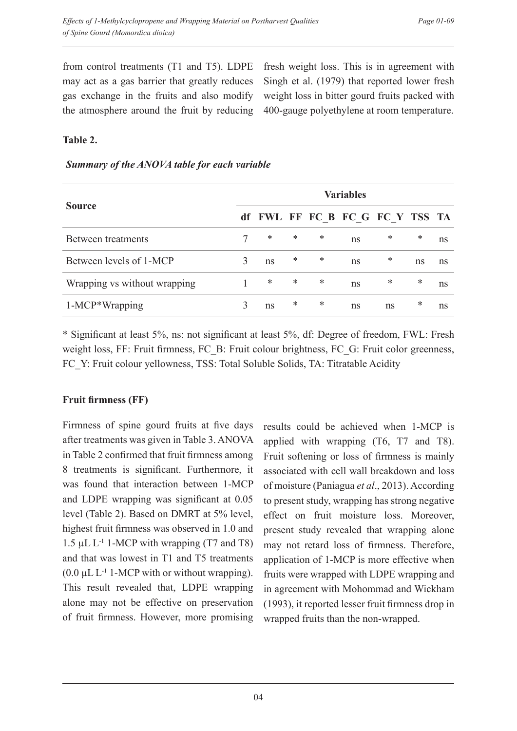from control treatments (T1 and T5). LDPE may act as a gas barrier that greatly reduces gas exchange in the fruits and also modify the atmosphere around the fruit by reducing fresh weight loss. This is in agreement with Singh et al. (1979) that reported lower fresh weight loss in bitter gourd fruits packed with 400-gauge polyethylene at room temperature.

## **Table 2.**

| Summary of the ANOVA table for each variable |  |  |  |  |  |  |
|----------------------------------------------|--|--|--|--|--|--|
|----------------------------------------------|--|--|--|--|--|--|

|                              | <b>Variables</b> |    |        |   |                                 |    |    |    |
|------------------------------|------------------|----|--------|---|---------------------------------|----|----|----|
| <b>Source</b>                |                  |    |        |   | df FWL FF FC B FC G FC Y TSS TA |    |    |    |
| Between treatments           |                  | ∗  | ∗      | * | ns                              | ∗  | ∗  | ns |
| Between levels of 1-MCP      |                  | ns | $\ast$ | * | ns                              | ∗  | ns | ns |
| Wrapping vs without wrapping |                  | *  | $\ast$ | * | ns                              | ∗  | ∗  | ns |
| 1-MCP*Wrapping               |                  | ns | ∗      | * | ns                              | ns | *  | ns |

\* Significant at least 5%, ns: not significant at least 5%, df: Degree of freedom, FWL: Fresh weight loss, FF: Fruit firmness, FC\_B: Fruit colour brightness, FC\_G: Fruit color greenness, FC\_Y: Fruit colour yellowness, TSS: Total Soluble Solids, TA: Titratable Acidity

# **Fruit firmness (FF)**

Firmness of spine gourd fruits at five days after treatments was given in Table 3. ANOVA in Table 2 confirmed that fruit firmness among 8 treatments is significant. Furthermore, it was found that interaction between 1-MCP and LDPE wrapping was significant at 0.05 level (Table 2). Based on DMRT at 5% level, highest fruit firmness was observed in 1.0 and 1.5  $\mu$ L L<sup>-1</sup> 1-MCP with wrapping (T7 and T8) and that was lowest in T1 and T5 treatments  $(0.0 \mu L L^{-1}$  1-MCP with or without wrapping). This result revealed that, LDPE wrapping alone may not be effective on preservation of fruit firmness. However, more promising

results could be achieved when 1-MCP is applied with wrapping (T6, T7 and T8). Fruit softening or loss of firmness is mainly associated with cell wall breakdown and loss of moisture (Paniagua *et al*., 2013). According to present study, wrapping has strong negative effect on fruit moisture loss. Moreover, present study revealed that wrapping alone may not retard loss of firmness. Therefore, application of 1-MCP is more effective when fruits were wrapped with LDPE wrapping and in agreement with Mohommad and Wickham (1993), it reported lesser fruit firmness drop in wrapped fruits than the non-wrapped.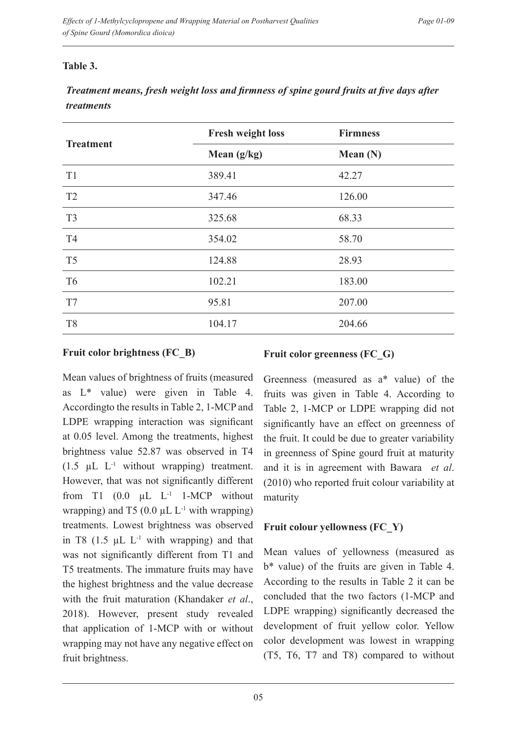## **Table 3.**

# *Treatment means, fresh weight loss and firmness of spine gourd fruits at five days after treatments*

|                  | <b>Fresh weight loss</b> | <b>Firmness</b> |
|------------------|--------------------------|-----------------|
| <b>Treatment</b> | Mean $(g/kg)$            | Mean $(N)$      |
| T <sub>1</sub>   | 389.41                   | 42.27           |
| T <sub>2</sub>   | 347.46                   | 126.00          |
| T <sub>3</sub>   | 325.68                   | 68.33           |
| T <sub>4</sub>   | 354.02                   | 58.70           |
| T <sub>5</sub>   | 124.88                   | 28.93           |
| T <sub>6</sub>   | 102.21                   | 183.00          |
| T7               | 95.81                    | 207.00          |
| T <sub>8</sub>   | 104.17                   | 204.66          |

#### **Fruit color brightness (FC\_B)**

#### **Fruit color greenness (FC\_G)**

Mean values of brightness of fruits (measured as L\* value) were given in Table 4. Accordingto the results in Table 2, 1-MCP and LDPE wrapping interaction was significant at 0.05 level. Among the treatments, highest brightness value 52.87 was observed in T4  $(1.5 \mu L L^{-1}$  without wrapping) treatment. However, that was not significantly different from T1  $(0.0 \mu L L^{-1} 1-MCP$  without wrapping) and T5 (0.0  $\mu$ L L<sup>-1</sup> with wrapping) treatments. Lowest brightness was observed in T8  $(1.5 \mu L L^{-1}$  with wrapping) and that was not significantly different from T1 and T5 treatments. The immature fruits may have the highest brightness and the value decrease with the fruit maturation (Khandaker *et al*., 2018). However, present study revealed that application of 1-MCP with or without wrapping may not have any negative effect on fruit brightness.

Greenness (measured as a\* value) of the fruits was given in Table 4. According to Table 2, 1-MCP or LDPE wrapping did not significantly have an effect on greenness of the fruit. It could be due to greater variability in greenness of Spine gourd fruit at maturity and it is in agreement with Bawara *et al*. (2010) who reported fruit colour variability at maturity

# **Fruit colour yellowness (FC\_Y)**

Mean values of yellowness (measured as b\* value) of the fruits are given in Table 4. According to the results in Table 2 it can be concluded that the two factors (1-MCP and LDPE wrapping) significantly decreased the development of fruit yellow color. Yellow color development was lowest in wrapping (T5, T6, T7 and T8) compared to without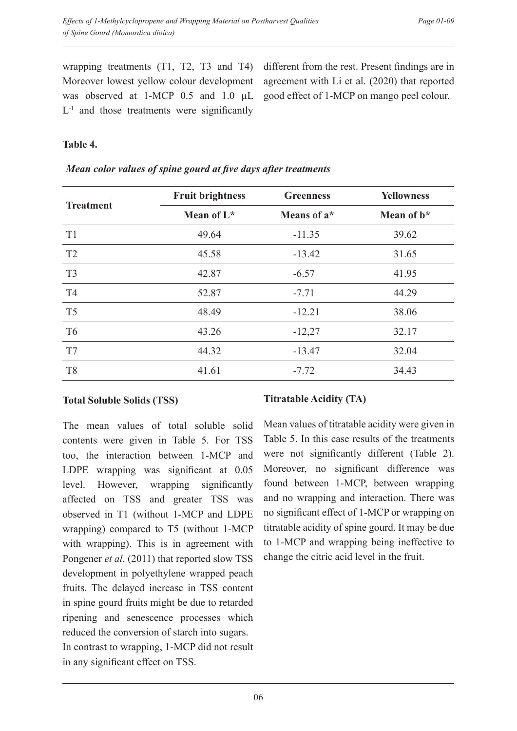wrapping treatments (T1, T2, T3 and T4) Moreover lowest yellow colour development was observed at 1-MCP 0.5 and 1.0 µL  $L<sup>-1</sup>$  and those treatments were significantly different from the rest. Present findings are in agreement with Li et al. (2020) that reported good effect of 1-MCP on mango peel colour.

## **Table 4.**

| <b>Treatment</b> | <b>Fruit brightness</b> | <b>Greenness</b> | <b>Yellowness</b> |  |
|------------------|-------------------------|------------------|-------------------|--|
|                  | Mean of $L^*$           | Means of a*      | Mean of $b^*$     |  |
| T <sub>1</sub>   | 49.64                   | $-11.35$         | 39.62             |  |
| T2               | 45.58                   | $-13.42$         | 31.65             |  |
| T <sub>3</sub>   | 42.87                   | $-6.57$          | 41.95             |  |
| T <sub>4</sub>   | 52.87                   | $-7.71$          | 44.29             |  |
| T <sub>5</sub>   | 48.49                   | $-12.21$         | 38.06             |  |
| T <sub>6</sub>   | 43.26                   | $-12,27$         | 32.17             |  |
| T7               | 44.32                   | $-13.47$         | 32.04             |  |
| T <sub>8</sub>   | 41.61                   | $-7.72$          | 34.43             |  |

#### *Mean color values of spine gourd at five days after treatments*

### **Total Soluble Solids (TSS)**

The mean values of total soluble solid contents were given in Table 5. For TSS too, the interaction between 1-MCP and LDPE wrapping was significant at 0.05 level. However, wrapping significantly affected on TSS and greater TSS was observed in T1 (without 1-MCP and LDPE wrapping) compared to T5 (without 1-MCP with wrapping). This is in agreement with Pongener *et al*. (2011) that reported slow TSS development in polyethylene wrapped peach fruits. The delayed increase in TSS content in spine gourd fruits might be due to retarded ripening and senescence processes which reduced the conversion of starch into sugars. In contrast to wrapping, 1-MCP did not result in any significant effect on TSS.

### **Titratable Acidity (TA)**

Mean values of titratable acidity were given in Table 5. In this case results of the treatments were not significantly different (Table 2). Moreover, no significant difference was found between 1-MCP, between wrapping and no wrapping and interaction. There was no significant effect of 1-MCP or wrapping on titratable acidity of spine gourd. It may be due to 1-MCP and wrapping being ineffective to change the citric acid level in the fruit.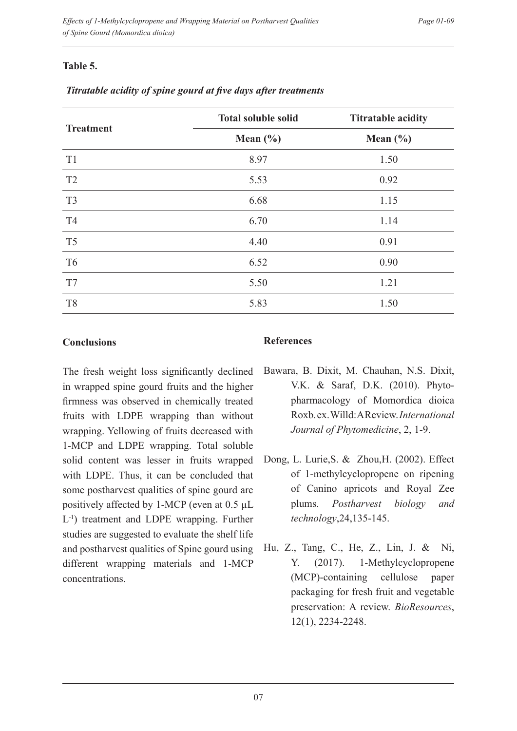## **Table 5.**

|                  | <b>Total soluble solid</b> | <b>Titratable acidity</b> |  |  |
|------------------|----------------------------|---------------------------|--|--|
| <b>Treatment</b> | Mean $(\% )$               | Mean $(\% )$              |  |  |
| T <sub>1</sub>   | 8.97                       | 1.50                      |  |  |
| T <sub>2</sub>   | 5.53                       | 0.92                      |  |  |
| T <sub>3</sub>   | 6.68                       | 1.15                      |  |  |
| T <sub>4</sub>   | 6.70                       | 1.14                      |  |  |
| T <sub>5</sub>   | 4.40                       | 0.91                      |  |  |
| T <sub>6</sub>   | 6.52                       | 0.90                      |  |  |
| T7               | 5.50                       | 1.21                      |  |  |
| T <sub>8</sub>   | 5.83                       | 1.50                      |  |  |

#### *Titratable acidity of spine gourd at five days after treatments*

#### **Conclusions**

The fresh weight loss significantly declined in wrapped spine gourd fruits and the higher firmness was observed in chemically treated fruits with LDPE wrapping than without wrapping. Yellowing of fruits decreased with 1-MCP and LDPE wrapping. Total soluble solid content was lesser in fruits wrapped with LDPE. Thus, it can be concluded that some postharvest qualities of spine gourd are positively affected by 1-MCP (even at 0.5 µL L-1) treatment and LDPE wrapping. Further studies are suggested to evaluate the shelf life and postharvest qualities of Spine gourd using different wrapping materials and 1-MCP concentrations.

### **References**

- Bawara, B. Dixit, M. Chauhan, N.S. Dixit, V.K. & Saraf, D.K. (2010). Phytopharmacology of Momordica dioica Roxb. ex. Willd: A Review. *International Journal of Phytomedicine*, 2, 1-9.
- Dong, L. Lurie, S. & Zhou, H. (2002). Effect of 1-methylcyclopropene on ripening of Canino apricots and Royal Zee plums. *Postharvest biology and technology*,24,135-145.
- Hu, Z., Tang, C., He, Z., Lin, J. & Ni, Y. (2017). 1-Methylcyclopropene (MCP)-containing cellulose paper packaging for fresh fruit and vegetable preservation: A review. *BioResources*, 12(1), 2234-2248.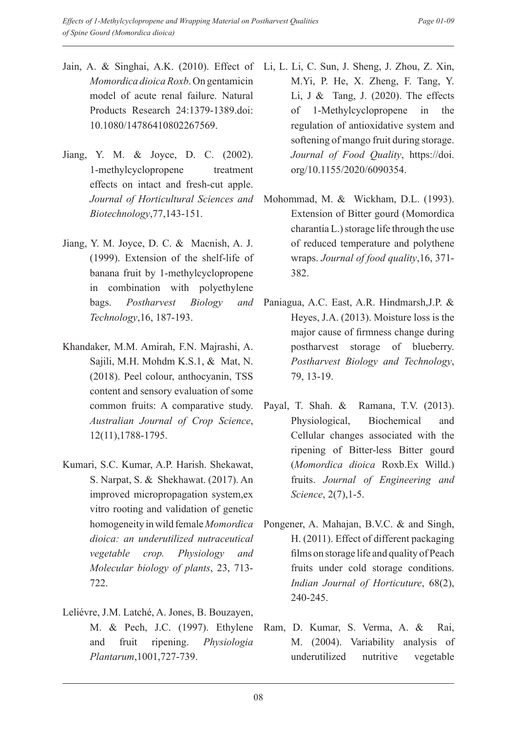- Jain, A. & Singhai, A.K. (2010). Effect of Li, L. Li, C. Sun, J. Sheng, J. Zhou, Z. Xin, *Momordica dioica Roxb*. On gentamicin model of acute renal failure. Natural Products Research 24:1379-1389.doi: 10.1080/14786410802267569.
- Jiang, Y. M. & Joyce, D. C. (2002). 1-methylcyclopropene treatment effects on intact and fresh-cut apple. *Biotechnology*,77,143-151.
- Jiang, Y. M. Joyce, D. C. & Macnish, A. J. (1999). Extension of the shelf-life of banana fruit by 1-methylcyclopropene in combination with polyethylene bags. *Postharvest Biology and Technology*,16, 187-193.
- Khandaker, M.M. Amirah, F.N. Majrashi, A. Sajili, M.H. Mohdm K.S.1, & Mat, N. (2018). Peel colour, anthocyanin, TSS content and sensory evaluation of some common fruits: A comparative study. *Australian Journal of Crop Science*, 12(11),1788-1795.
- Kumari, S.C. Kumar, A.P. Harish. Shekawat, S. Narpat, S. & Shekhawat. (2017). An improved micropropagation system,ex vitro rooting and validation of genetic homogeneity in wild female *Momordica dioica: an underutilized nutraceutical vegetable crop. Physiology and Molecular biology of plants*, 23, 713- 722.
- Leliévre, J.M. Latché, A. Jones, B. Bouzayen, M. & Pech, J.C. (1997). Ethylene and fruit ripening. *Physiologia Plantarum*,1001,727-739.
- M.Yi, P. He, X. Zheng, F. Tang, Y. Li, J  $\&$  Tang, J. (2020). The effects of 1-Methylcyclopropene in the regulation of antioxidative system and softening of mango fruit during storage. *Journal of Food Quality*, https://doi. org/10.1155/2020/6090354.
- *Journal of Horticultural Sciences and*  Mohommad, M. & Wickham, D.L. (1993). Extension of Bitter gourd (Momordica charantia L.) storage life through the use of reduced temperature and polythene wraps. *Journal of food quality*,16, 371- 382.
	- Paniagua, A.C. East, A.R. Hindmarsh,J.P. & Heyes, J.A. (2013). Moisture loss is the major cause of firmness change during postharvest storage of blueberry. *Postharvest Biology and Technology*, 79, 13-19.
	- Payal, T. Shah. & Ramana, T.V. (2013). Physiological, Biochemical and Cellular changes associated with the ripening of Bitter-less Bitter gourd (*Momordica dioica* Roxb.Ex Willd.) fruits. *Journal of Engineering and Science*, 2(7),1-5.
	- Pongener, A. Mahajan, B.V.C. & and Singh, H. (2011). Effect of different packaging films on storage life and quality of Peach fruits under cold storage conditions. *Indian Journal of Horticuture*, 68(2), 240-245.
	- Ram, D. Kumar, S. Verma, A. & Rai, M. (2004). Variability analysis of underutilized nutritive vegetable